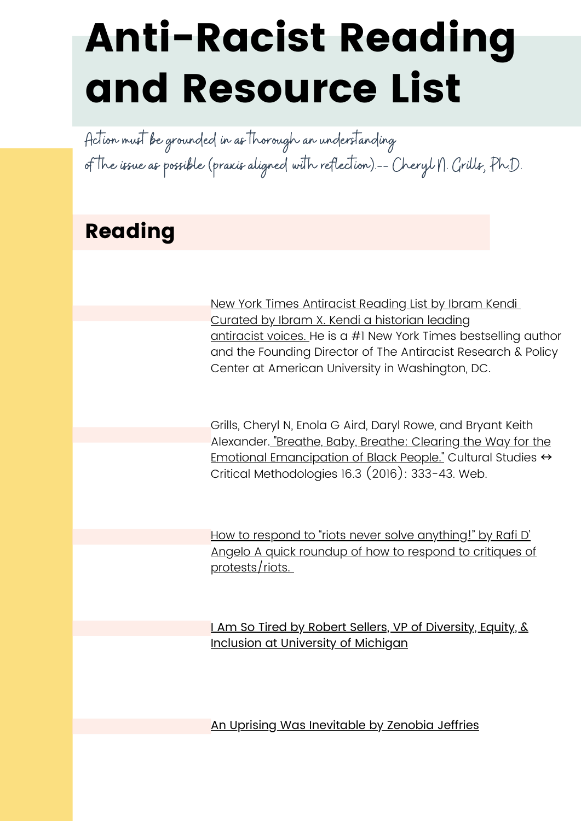Action must be grounded in as thorough an understanding of the issue as possible (praxis aligned with reflection).-- Cheryl N. Grills, Ph.D.

## Reading

New York Times [Antiracist](https://www.nytimes.com/2019/05/29/books/review/antiracist-reading-list-ibram-x-kendi.html%20https:/antiracismcenter.com) Reading List by Ibram Kendi Curated by Ibram X. Kendi a [historian](https://www.nytimes.com/2019/05/29/books/review/antiracist-reading-list-ibram-x-kendi.html%20https:/antiracismcenter.com) leading [antiracist](https://www.nytimes.com/2019/05/29/books/review/antiracist-reading-list-ibram-x-kendi.html%20https:/antiracismcenter.com) voices. He is a #1 New York Times bestselling author and the Founding Director of The Antiracist Research & Policy Center at American University in Washington, DC.

Grills, Cheryl N, Enola G Aird, Daryl Rowe, and Bryant Keith Alexander. "Breathe, Baby, Breathe: Clearing the Way for the Emotional [Emancipation](https://library.sdsu.edu/offcampus/login.php?url=https%3a%2f%2fdoi.org%2f10.1177%2f1532708616634839) of Black People." Cultural Studies ↔ Critical Methodologies 16.3 (2016): 333-43. Web.

How to respond to "riots never solve anything!" by Rafi D' Angelo A quic[k](https://soletstalkabout.com/2020/05/28/how-to-respond-to-riots-never-solve-anything/) roundup of how to respond to critiques of [protests/riots.](https://soletstalkabout.com/2020/05/28/how-to-respond-to-riots-never-solve-anything/)

I Am So Tired by Robert Sellers, VP of Diversity, Equity, & Inclusion at [University](https://odei.umich.edu/2020/05/29/i-am-so-tired/) of Michigan

An Uprising Was [Inevitable](https://odei.umich.edu/2020/05/29/i-am-so-tired/) by Zenobia Jeffries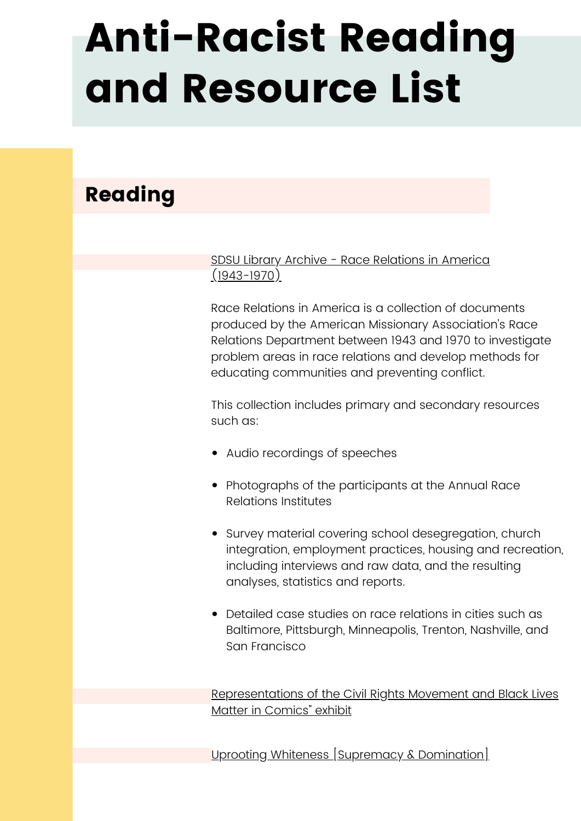## Reading

SDSU Library Archive - Race [Relations](https://library.sdsu.edu/offcampus/login.php?url=http%3a%2f%2fwww.racerelations.amdigital.co.uk) in America [\(1943-1970\)](https://library.sdsu.edu/offcampus/login.php?url=http%3a%2f%2fwww.racerelations.amdigital.co.uk)

Race Relations in America is a collection of documents produced by the American Missionary Association's Race Relations Department between 1943 and 1970 to investigate problem areas in race relations and develop methods for educating communities and preventing conflict.

This collection includes primary and secondary resources such as:

- Audio recordings of speeches
- Photographs of the participants at the Annual Race Relations Institutes
- Survey material covering school desegregation, church integration, employment practices, housing and recreation, including interviews and raw data, and the resulting analyses, statistics and reports.
- Detailed case studies on race relations in cities such as Baltimore, Pittsburgh, Minneapolis, Trenton, Nashville, and San Francisco

[Representations](https://sites.google.com/sdsu.edu/civilrightsincomics) of the Civil Rights Movement and Black Lives Matter in Comics" exhibit

Uprooting Whiteness [\[Supremacy](https://docs.google.com/document/d/1F8v8BQOcN3kODBxntkPS7snNjIuV1Cz5QDLEeq5XPa8/edit) & Domination]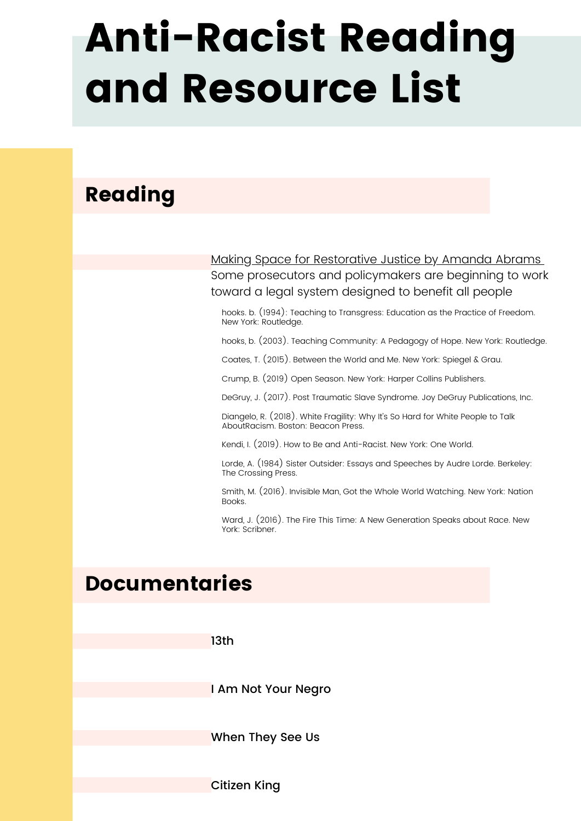## Reading

Making Space for [Restorative](https://www.yesmagazine.org/issue/world-we-want/2020/02/19/making-space-for-restorative-justice/) Justice by Amanda Abrams Some prosecutors and policymakers are beginning to work toward a legal system designed to benefit all people

hooks. b. (1994): Teaching to Transgress: Education as the Practice of Freedom. New York: Routledge.

hooks, b. (2003). Teaching Community: A Pedagogy of Hope. New York: Routledge.

Coates, T. (2015). Between the World and Me. New York: Spiegel & Grau.

Crump, B. (2019) Open Season. New York: Harper Collins Publishers.

DeGruy, J. (2017). Post Traumatic Slave Syndrome. Joy DeGruy Publications, Inc.

Diangelo, R. (2018). White Fragility: Why It's So Hard for White People to Talk AboutRacism. Boston: Beacon Press.

Kendi, I. (2019). How to Be and Anti-Racist. New York: One World.

Lorde, A. (1984) Sister Outsider: Essays and Speeches by Audre Lorde. Berkeley: The Crossing Press.

Smith, M. (2016). Invisible Man, Got the Whole World Watching. New York: Nation Books.

Ward, J. (2016). The Fire This Time: A New Generation Speaks about Race. New York: Scribner.

## Documentaries

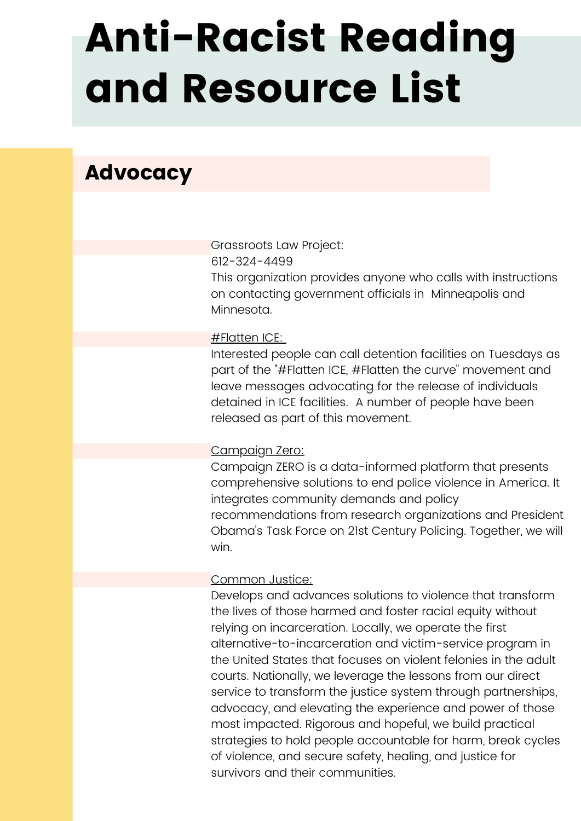## Advocacy

Grassroots Law Project:

612-324-4499

This organization provides anyone who calls with instructions on contacting government officials in Minneapolis and Minnesota.

### [#Flatten](https://docs.google.com/document/d/1qXdeTFoLA38WT6oOOrCke6VWsoDkUrqf7YwTw5VAAHc/edit) ICE[:](https://docs.google.com/document/d/1qXdeTFoLA38WT6oOOrCke6VWsoDkUrqf7YwTw5VAAHc/edit)

Interested people can call detention facilities on Tuesdays as part of the "#Flatten ICE, #Flatten the curve" movement and leave messages advocating for the release of individuals detained in ICE facilities. A number of people have been released as part of this movement.

### [Campaign](https://www.joincampaignzero.org/#vision) Zero:

Campaign ZERO is a data-informed platform that presents comprehensive solutions to end police violence in America. It integrates community demands and policy recommendations from research organizations and President Obama's Task Force on 21st Century Policing. Together, we will win.

### [Common](https://www.commonjustice.org/) Justice:

Develops and advances solutions to violence that transform the lives of those harmed and foster racial equity without relying on incarceration. Locally, we operate the first alternative-to-incarceration and victim-service program in the United States that focuses on violent felonies in the adult courts. Nationally, we leverage the lessons from our direct service to transform the justice system through partnerships, advocacy, and elevating the experience and power of those most impacted. Rigorous and hopeful, we build practical strategies to hold people accountable for harm, break cycles of violence, and secure safety, healing, and justice for survivors and their communities.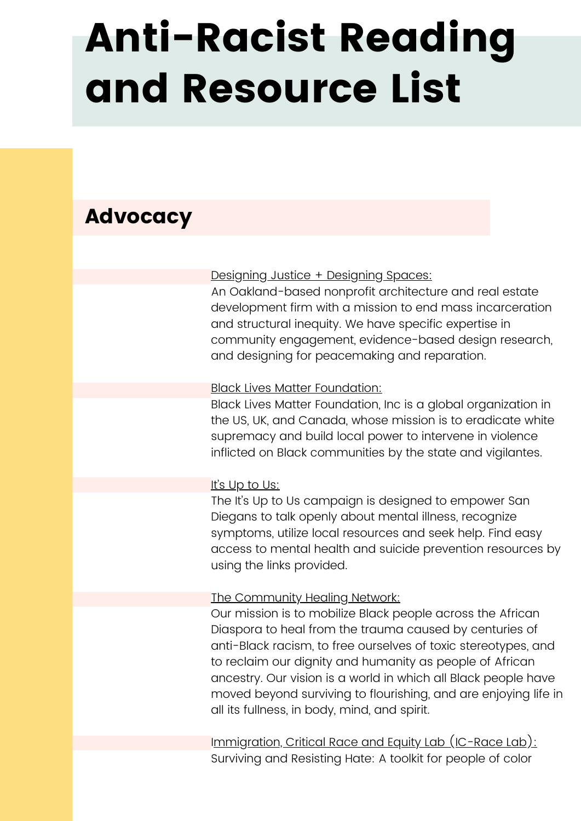## Advocacy

### [Designing](http://www.commonjustice.org/) Justice + Designing Spaces:

An Oakland-based nonprofit architecture and real estate development firm with a mission to end mass incarceration and structural inequity. We have specific expertise in community engagement, evidence-based design research, and designing for peacemaking and reparation.

#### **Black Lives Matter [Foundation:](https://blacklivesmatter.com/)**

Black Lives Matter Foundation, Inc is a global organization in the US, UK, and Canada, whose mission is to eradicate white supremacy and build local power to intervene in violence inflicted on Black communities by the state and vigilantes.

### It's Up to [Us:](https://up2sd.org/)

The It's Up to Us campaign is designed to empower San Diegans to talk openly about mental illness, recognize symptoms, utilize local resources and seek help. Find easy access to mental health and suicide prevention resources by using the links provided.

#### The [Community](https://www.communityhealingnet.org/) Healing Network:

Our mission is to mobilize Black people across the African Diaspora to heal from the trauma caused by centuries of anti-Black racism, to free ourselves of toxic stereotypes, and to reclaim our dignity and humanity as people of African ancestry. Our vision is a world in which all Black people have moved beyond surviving to flourishing, and are enjoying life in all its fullness, in body, mind, and spirit.

I[mmigration,](https://icrace.org/our-partners/toolkits/) Critical Race and Equity Lab (IC-Race Lab): Surviving and Resisting Hate: A toolkit for people of color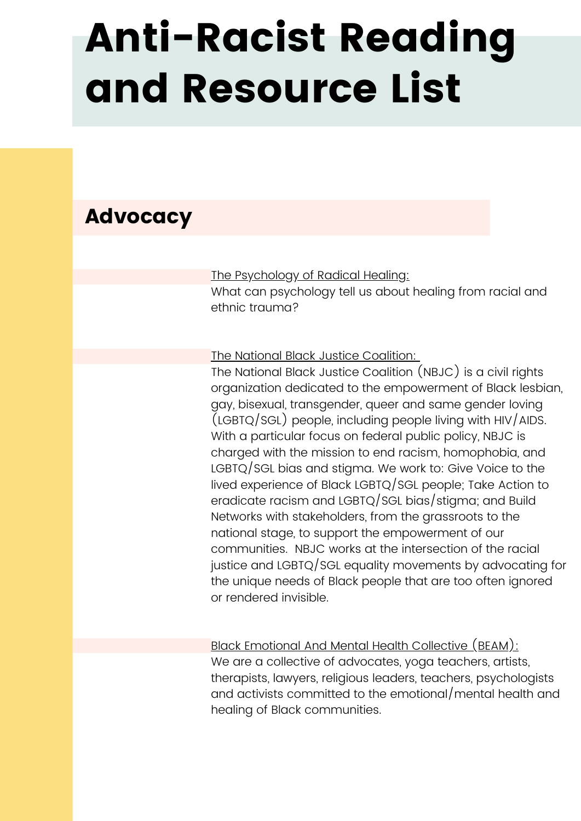## Advocacy

The [Psychology](https://www.psychologytoday.com/us/blog/healing-through-social-justice/201903/the-psychology-radical-healing) of Radical Healing:

What can psychology tell us about healing from racial and ethnic trauma?

The National Black Justice [Coalition:](http://nbjc.org/)

The National Black Justice Coalition (NBJC) is a civil rights organization dedicated to the empowerment of Black lesbian, gay, bisexual, transgender, queer and same gender loving (LGBTQ/SGL) people, including people living with HIV/AIDS. With a particular focus on federal public policy, NBJC is charged with the mission to end racism, homophobia, and LGBTQ/SGL bias and stigma. We work to: Give Voice to the lived experience of Black LGBTQ/SGL people; Take Action to eradicate racism and LGBTQ/SGL bias/stigma; and Build Networks with stakeholders, from the grassroots to the national stage, to support the empowerment of our communities. NBJC works at the intersection of the racial justice and LGBTQ/SGL equality movements by advocating for the unique needs of Black people that are too often ignored or rendered invisible.

Black [Emotional](https://www.beam.community/) And Mental Health Collective (BEAM): We are a collective of advocates, yoga teachers, artists, therapists, lawyers, religious leaders, teachers, psychologists and activists committed to the emotional/mental health and healing of Black communities.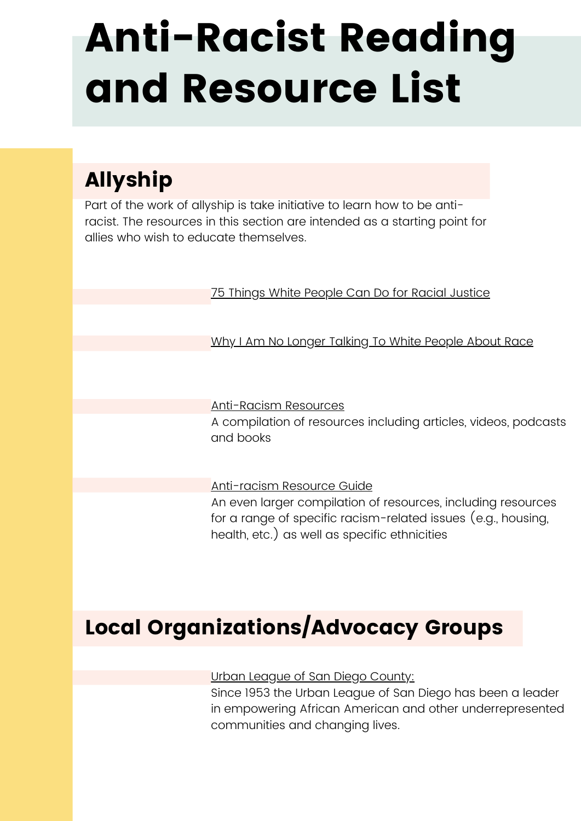## Allyship

Part of the work of allyship is take initiative to learn how to be antiracist. The resources in this section are intended as a starting point for allies who wish to educate themselves.

75 Things White People Can Do for Racial [Justice](https://medium.com/equality-includes-you/what-white-people-can-do-for-racial-justice-f2d18b0e0234)

Why I Am No Longer [Talking](https://www.theguardian.com/world/2017/may/30/why-im-no-longer-talking-to-white-people-about-race) To White People About Race

[Anti-Racism](http://bit.ly/ANTIRACISMRESOURCES) Resources A compilation of resources including articles, videos, podcasts and books

[Anti-racism](https://docs.google.com/document/d/1hpub-jkm9cLzJWqZSsETqbE6tZ13Q0UbQz--vQ2avEc/edit) Resource Guide An even larger compilation of resources, including resources for a range of specific racism-related issues (e.g., housing, health, etc.) as well as specific ethnicities

## Local Organizations/Advocacy Groups

### Urban League of San Diego [County:](https://www.sandiegoleaders.org/ulsdc)

Since 1953 the Urban League of San Diego has been a leader in empowering African American and other underrepresented communities and changing lives.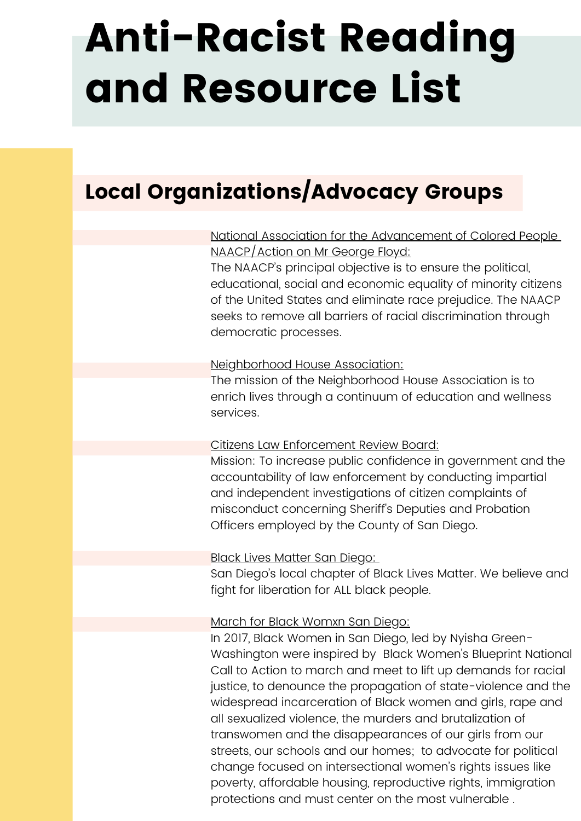## Local Organizations/Advocacy Groups

## National Association for the [Advancement](https://www.sandiegonaacp.org/) of Colored People [NAACP/Action](https://www.sandiegonaacp.org/) on Mr George Floyd:

The NAACP's principal objective is to ensure the political, educational, social and economic equality of minority citizens of the United States and eliminate race prejudice. The NAACP seeks to remove all barriers of racial discrimination through democratic processes.

### [Neighborhood](http://www.neighborhoodhouse.org/#sthash.VmEmHDmd.dpbs) House Association:

The mission of the Neighborhood House Association is to enrich lives through a continuum of education and wellness services.

### Citizens Law [Enforcement](https://www.sandiegocounty.gov/clerb/) Review Board:

Mission: To increase public confidence in government and the accountability of law enforcement by conducting impartial and independent investigations of citizen complaints of misconduct concerning Sheriff's Deputies and Probation Officers employed by the County of San Diego.

### Black Lives [Matter](https://www.facebook.com/blmsd/) San Diego:

San Diego's local chapter of Black Lives Matter. We believe and fight for liberation for ALL black people.

### March for Black [Womxn](https://www.m4bwsd.com/) San Diego:

In 2017, Black Women in San Diego, led by Nyisha Green-Washington were inspired by Black Women's Blueprint National Call to Action to march and meet to lift up demands for racial justice, to denounce the propagation of state-violence and the widespread incarceration of Black women and girls, rape and all sexualized violence, the murders and brutalization of transwomen and the disappearances of our girls from our streets, our schools and our homes; to advocate for political change focused on intersectional women's rights issues like poverty, affordable housing, reproductive rights, immigration protections and must center on the most vulnerable .